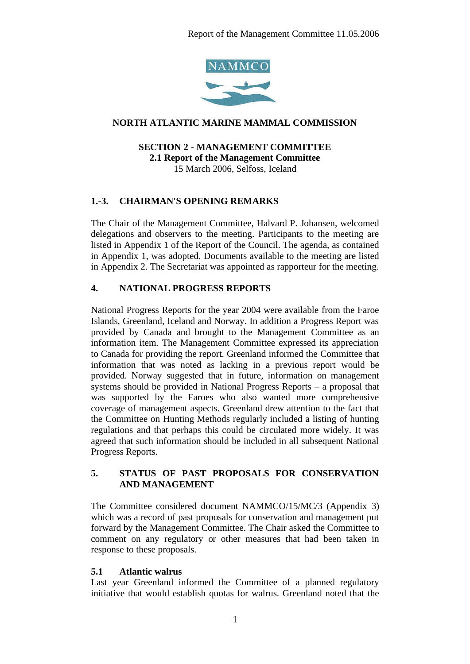

# **NORTH ATLANTIC MARINE MAMMAL COMMISSION**

# **SECTION 2 - MANAGEMENT COMMITTEE 2.1 Report of the Management Committee**

15 March 2006, Selfoss, Iceland

# **1.-3. CHAIRMAN'S OPENING REMARKS**

The Chair of the Management Committee, Halvard P. Johansen, welcomed delegations and observers to the meeting. Participants to the meeting are listed in Appendix 1 of the Report of the Council. The agenda, as contained in Appendix 1, was adopted. Documents available to the meeting are listed in Appendix 2. The Secretariat was appointed as rapporteur for the meeting.

# **4. NATIONAL PROGRESS REPORTS**

National Progress Reports for the year 2004 were available from the Faroe Islands, Greenland, Iceland and Norway. In addition a Progress Report was provided by Canada and brought to the Management Committee as an information item. The Management Committee expressed its appreciation to Canada for providing the report. Greenland informed the Committee that information that was noted as lacking in a previous report would be provided. Norway suggested that in future, information on management systems should be provided in National Progress Reports – a proposal that was supported by the Faroes who also wanted more comprehensive coverage of management aspects. Greenland drew attention to the fact that the Committee on Hunting Methods regularly included a listing of hunting regulations and that perhaps this could be circulated more widely. It was agreed that such information should be included in all subsequent National Progress Reports.

### **5. STATUS OF PAST PROPOSALS FOR CONSERVATION AND MANAGEMENT**

The Committee considered document NAMMCO/15/MC/3 (Appendix 3) which was a record of past proposals for conservation and management put forward by the Management Committee. The Chair asked the Committee to comment on any regulatory or other measures that had been taken in response to these proposals.

# **5.1 Atlantic walrus**

Last year Greenland informed the Committee of a planned regulatory initiative that would establish quotas for walrus. Greenland noted that the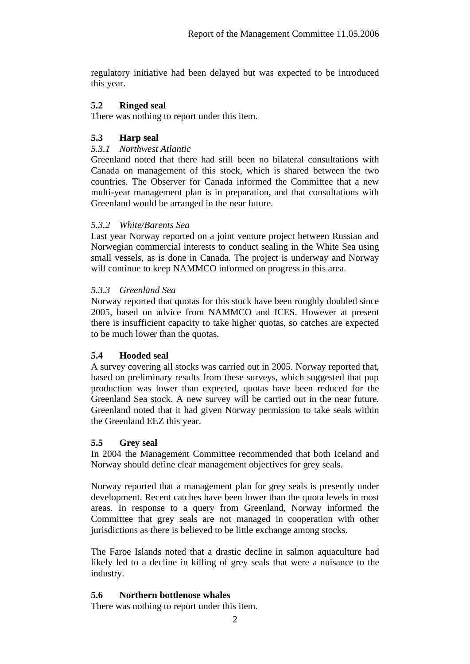regulatory initiative had been delayed but was expected to be introduced this year.

# **5.2 Ringed seal**

There was nothing to report under this item.

# **5.3 Harp seal**

### *5.3.1 Northwest Atlantic*

Greenland noted that there had still been no bilateral consultations with Canada on management of this stock, which is shared between the two countries. The Observer for Canada informed the Committee that a new multi-year management plan is in preparation, and that consultations with Greenland would be arranged in the near future.

### *5.3.2 White/Barents Sea*

Last year Norway reported on a joint venture project between Russian and Norwegian commercial interests to conduct sealing in the White Sea using small vessels, as is done in Canada. The project is underway and Norway will continue to keep NAMMCO informed on progress in this area.

### *5.3.3 Greenland Sea*

Norway reported that quotas for this stock have been roughly doubled since 2005, based on advice from NAMMCO and ICES. However at present there is insufficient capacity to take higher quotas, so catches are expected to be much lower than the quotas.

#### **5.4 Hooded seal**

A survey covering all stocks was carried out in 2005. Norway reported that, based on preliminary results from these surveys, which suggested that pup production was lower than expected, quotas have been reduced for the Greenland Sea stock. A new survey will be carried out in the near future. Greenland noted that it had given Norway permission to take seals within the Greenland EEZ this year.

# **5.5 Grey seal**

In 2004 the Management Committee recommended that both Iceland and Norway should define clear management objectives for grey seals.

Norway reported that a management plan for grey seals is presently under development. Recent catches have been lower than the quota levels in most areas. In response to a query from Greenland, Norway informed the Committee that grey seals are not managed in cooperation with other jurisdictions as there is believed to be little exchange among stocks.

The Faroe Islands noted that a drastic decline in salmon aquaculture had likely led to a decline in killing of grey seals that were a nuisance to the industry.

#### **5.6 Northern bottlenose whales**

There was nothing to report under this item.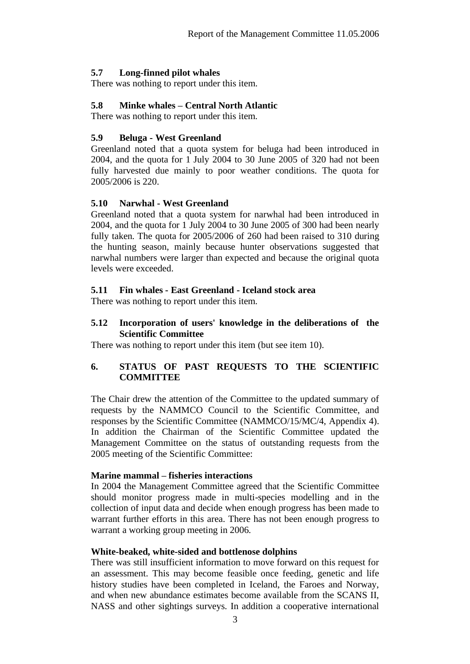# **5.7 Long-finned pilot whales**

There was nothing to report under this item.

#### **5.8 Minke whales – Central North Atlantic**

There was nothing to report under this item.

### **5.9 Beluga - West Greenland**

Greenland noted that a quota system for beluga had been introduced in 2004, and the quota for 1 July 2004 to 30 June 2005 of 320 had not been fully harvested due mainly to poor weather conditions. The quota for 2005/2006 is 220.

### **5.10 Narwhal - West Greenland**

Greenland noted that a quota system for narwhal had been introduced in 2004, and the quota for 1 July 2004 to 30 June 2005 of 300 had been nearly fully taken. The quota for 2005/2006 of 260 had been raised to 310 during the hunting season, mainly because hunter observations suggested that narwhal numbers were larger than expected and because the original quota levels were exceeded.

### **5.11 Fin whales - East Greenland - Iceland stock area**

There was nothing to report under this item.

### **5.12 Incorporation of users' knowledge in the deliberations of the Scientific Committee**

There was nothing to report under this item (but see item 10).

# **6. STATUS OF PAST REQUESTS TO THE SCIENTIFIC COMMITTEE**

The Chair drew the attention of the Committee to the updated summary of requests by the NAMMCO Council to the Scientific Committee, and responses by the Scientific Committee (NAMMCO/15/MC/4, Appendix 4). In addition the Chairman of the Scientific Committee updated the Management Committee on the status of outstanding requests from the 2005 meeting of the Scientific Committee:

#### **Marine mammal – fisheries interactions**

In 2004 the Management Committee agreed that the Scientific Committee should monitor progress made in multi-species modelling and in the collection of input data and decide when enough progress has been made to warrant further efforts in this area. There has not been enough progress to warrant a working group meeting in 2006.

#### **White-beaked, white-sided and bottlenose dolphins**

There was still insufficient information to move forward on this request for an assessment. This may become feasible once feeding, genetic and life history studies have been completed in Iceland, the Faroes and Norway, and when new abundance estimates become available from the SCANS II, NASS and other sightings surveys. In addition a cooperative international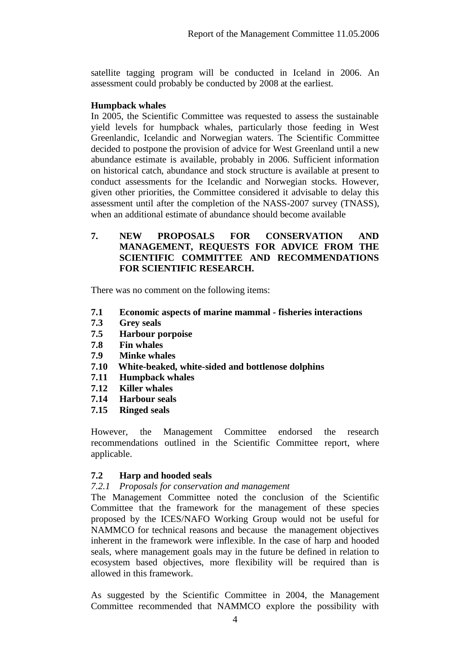satellite tagging program will be conducted in Iceland in 2006. An assessment could probably be conducted by 2008 at the earliest.

#### **Humpback whales**

In 2005, the Scientific Committee was requested to assess the sustainable yield levels for humpback whales, particularly those feeding in West Greenlandic, Icelandic and Norwegian waters. The Scientific Committee decided to postpone the provision of advice for West Greenland until a new abundance estimate is available, probably in 2006. Sufficient information on historical catch, abundance and stock structure is available at present to conduct assessments for the Icelandic and Norwegian stocks. However, given other priorities, the Committee considered it advisable to delay this assessment until after the completion of the NASS-2007 survey (TNASS), when an additional estimate of abundance should become available

### **7. NEW PROPOSALS FOR CONSERVATION AND MANAGEMENT, REQUESTS FOR ADVICE FROM THE SCIENTIFIC COMMITTEE AND RECOMMENDATIONS FOR SCIENTIFIC RESEARCH.**

There was no comment on the following items:

- **7.1 Economic aspects of marine mammal - fisheries interactions**
- **7.3 Grey seals**
- **7.5 Harbour porpoise**
- **7.8 Fin whales**
- **7.9 Minke whales**
- **7.10 White-beaked, white-sided and bottlenose dolphins**
- **7.11 Humpback whales**
- **7.12 Killer whales**
- **7.14 Harbour seals**
- **7.15 Ringed seals**

However, the Management Committee endorsed the research recommendations outlined in the Scientific Committee report, where applicable.

# **7.2 Harp and hooded seals**

#### *7.2.1 Proposals for conservation and management*

The Management Committee noted the conclusion of the Scientific Committee that the framework for the management of these species proposed by the ICES/NAFO Working Group would not be useful for NAMMCO for technical reasons and because the management objectives inherent in the framework were inflexible. In the case of harp and hooded seals, where management goals may in the future be defined in relation to ecosystem based objectives, more flexibility will be required than is allowed in this framework.

As suggested by the Scientific Committee in 2004, the Management Committee recommended that NAMMCO explore the possibility with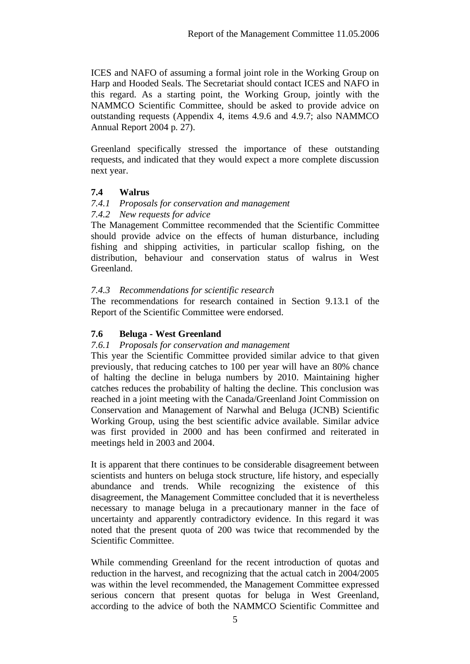ICES and NAFO of assuming a formal joint role in the Working Group on Harp and Hooded Seals. The Secretariat should contact ICES and NAFO in this regard. As a starting point, the Working Group, jointly with the NAMMCO Scientific Committee, should be asked to provide advice on outstanding requests (Appendix 4, items 4.9.6 and 4.9.7; also NAMMCO Annual Report 2004 p. 27).

Greenland specifically stressed the importance of these outstanding requests, and indicated that they would expect a more complete discussion next year.

# **7.4 Walrus**

### *7.4.1 Proposals for conservation and management*

### *7.4.2 New requests for advice*

The Management Committee recommended that the Scientific Committee should provide advice on the effects of human disturbance, including fishing and shipping activities, in particular scallop fishing, on the distribution, behaviour and conservation status of walrus in West Greenland.

# *7.4.3 Recommendations for scientific research*

The recommendations for research contained in Section 9.13.1 of the Report of the Scientific Committee were endorsed.

# **7.6 Beluga - West Greenland**

# *7.6.1 Proposals for conservation and management*

This year the Scientific Committee provided similar advice to that given previously, that reducing catches to 100 per year will have an 80% chance of halting the decline in beluga numbers by 2010. Maintaining higher catches reduces the probability of halting the decline. This conclusion was reached in a joint meeting with the Canada/Greenland Joint Commission on Conservation and Management of Narwhal and Beluga (JCNB) Scientific Working Group, using the best scientific advice available. Similar advice was first provided in 2000 and has been confirmed and reiterated in meetings held in 2003 and 2004.

It is apparent that there continues to be considerable disagreement between scientists and hunters on beluga stock structure, life history, and especially abundance and trends. While recognizing the existence of this disagreement, the Management Committee concluded that it is nevertheless necessary to manage beluga in a precautionary manner in the face of uncertainty and apparently contradictory evidence. In this regard it was noted that the present quota of 200 was twice that recommended by the Scientific Committee.

While commending Greenland for the recent introduction of quotas and reduction in the harvest, and recognizing that the actual catch in 2004/2005 was within the level recommended, the Management Committee expressed serious concern that present quotas for beluga in West Greenland, according to the advice of both the NAMMCO Scientific Committee and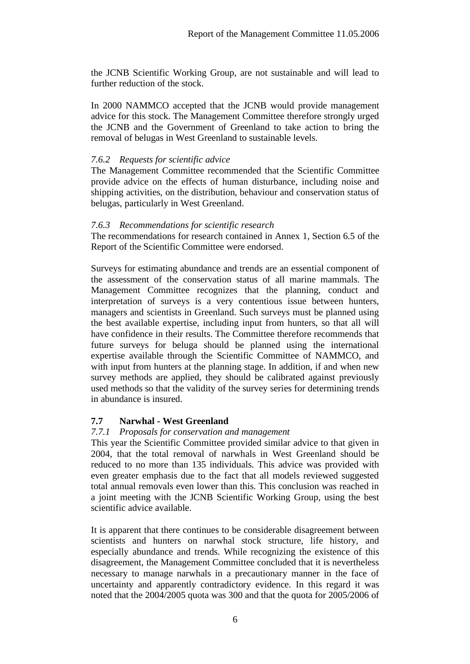the JCNB Scientific Working Group, are not sustainable and will lead to further reduction of the stock.

In 2000 NAMMCO accepted that the JCNB would provide management advice for this stock. The Management Committee therefore strongly urged the JCNB and the Government of Greenland to take action to bring the removal of belugas in West Greenland to sustainable levels.

### *7.6.2 Requests for scientific advice*

The Management Committee recommended that the Scientific Committee provide advice on the effects of human disturbance, including noise and shipping activities, on the distribution, behaviour and conservation status of belugas, particularly in West Greenland.

### *7.6.3 Recommendations for scientific research*

The recommendations for research contained in Annex 1, Section 6.5 of the Report of the Scientific Committee were endorsed.

Surveys for estimating abundance and trends are an essential component of the assessment of the conservation status of all marine mammals. The Management Committee recognizes that the planning, conduct and interpretation of surveys is a very contentious issue between hunters, managers and scientists in Greenland. Such surveys must be planned using the best available expertise, including input from hunters, so that all will have confidence in their results. The Committee therefore recommends that future surveys for beluga should be planned using the international expertise available through the Scientific Committee of NAMMCO, and with input from hunters at the planning stage. In addition, if and when new survey methods are applied, they should be calibrated against previously used methods so that the validity of the survey series for determining trends in abundance is insured.

# **7.7 Narwhal - West Greenland**

#### *7.7.1 Proposals for conservation and management*

This year the Scientific Committee provided similar advice to that given in 2004, that the total removal of narwhals in West Greenland should be reduced to no more than 135 individuals. This advice was provided with even greater emphasis due to the fact that all models reviewed suggested total annual removals even lower than this. This conclusion was reached in a joint meeting with the JCNB Scientific Working Group, using the best scientific advice available.

It is apparent that there continues to be considerable disagreement between scientists and hunters on narwhal stock structure, life history, and especially abundance and trends. While recognizing the existence of this disagreement, the Management Committee concluded that it is nevertheless necessary to manage narwhals in a precautionary manner in the face of uncertainty and apparently contradictory evidence. In this regard it was noted that the 2004/2005 quota was 300 and that the quota for 2005/2006 of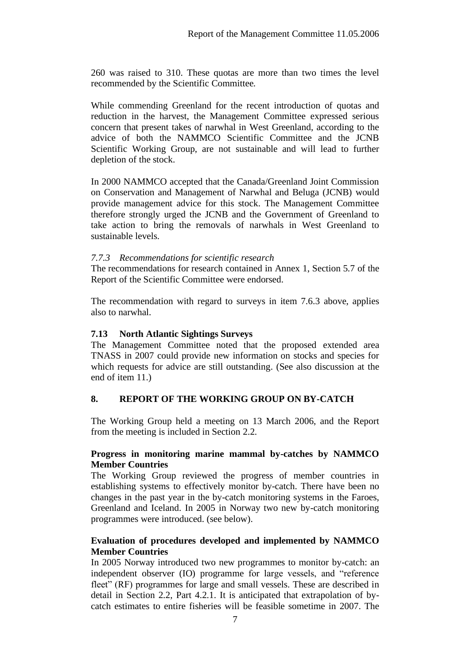260 was raised to 310. These quotas are more than two times the level recommended by the Scientific Committee.

While commending Greenland for the recent introduction of quotas and reduction in the harvest, the Management Committee expressed serious concern that present takes of narwhal in West Greenland, according to the advice of both the NAMMCO Scientific Committee and the JCNB Scientific Working Group, are not sustainable and will lead to further depletion of the stock.

In 2000 NAMMCO accepted that the Canada/Greenland Joint Commission on Conservation and Management of Narwhal and Beluga (JCNB) would provide management advice for this stock. The Management Committee therefore strongly urged the JCNB and the Government of Greenland to take action to bring the removals of narwhals in West Greenland to sustainable levels.

### *7.7.3 Recommendations for scientific research*

The recommendations for research contained in Annex 1, Section 5.7 of the Report of the Scientific Committee were endorsed.

The recommendation with regard to surveys in item 7.6.3 above, applies also to narwhal.

### **7.13 North Atlantic Sightings Surveys**

The Management Committee noted that the proposed extended area TNASS in 2007 could provide new information on stocks and species for which requests for advice are still outstanding. (See also discussion at the end of item 11.)

# **8. REPORT OF THE WORKING GROUP ON BY-CATCH**

The Working Group held a meeting on 13 March 2006, and the Report from the meeting is included in Section 2.2.

#### **Progress in monitoring marine mammal by-catches by NAMMCO Member Countries**

The Working Group reviewed the progress of member countries in establishing systems to effectively monitor by-catch. There have been no changes in the past year in the by-catch monitoring systems in the Faroes, Greenland and Iceland. In 2005 in Norway two new by-catch monitoring programmes were introduced. (see below).

### **Evaluation of procedures developed and implemented by NAMMCO Member Countries**

In 2005 Norway introduced two new programmes to monitor by-catch: an independent observer (IO) programme for large vessels, and "reference fleet" (RF) programmes for large and small vessels. These are described in detail in Section 2.2, Part 4.2.1. It is anticipated that extrapolation of bycatch estimates to entire fisheries will be feasible sometime in 2007. The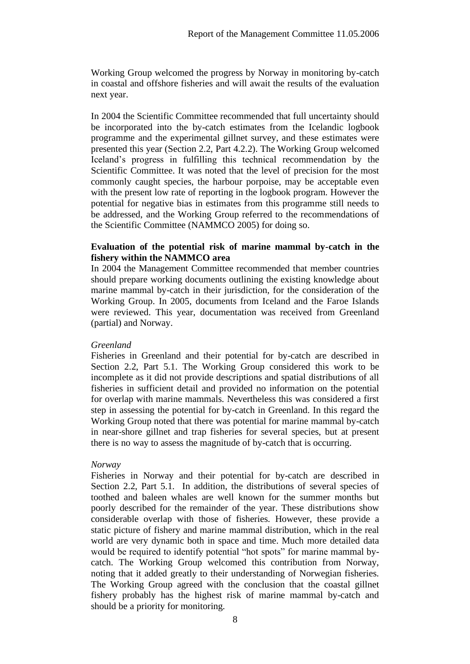Working Group welcomed the progress by Norway in monitoring by-catch in coastal and offshore fisheries and will await the results of the evaluation next year.

In 2004 the Scientific Committee recommended that full uncertainty should be incorporated into the by-catch estimates from the Icelandic logbook programme and the experimental gillnet survey, and these estimates were presented this year (Section 2.2, Part 4.2.2). The Working Group welcomed Iceland's progress in fulfilling this technical recommendation by the Scientific Committee. It was noted that the level of precision for the most commonly caught species, the harbour porpoise, may be acceptable even with the present low rate of reporting in the logbook program. However the potential for negative bias in estimates from this programme still needs to be addressed, and the Working Group referred to the recommendations of the Scientific Committee (NAMMCO 2005) for doing so.

#### **Evaluation of the potential risk of marine mammal by-catch in the fishery within the NAMMCO area**

In 2004 the Management Committee recommended that member countries should prepare working documents outlining the existing knowledge about marine mammal by-catch in their jurisdiction, for the consideration of the Working Group. In 2005, documents from Iceland and the Faroe Islands were reviewed. This year, documentation was received from Greenland (partial) and Norway.

#### *Greenland*

Fisheries in Greenland and their potential for by-catch are described in Section 2.2, Part 5.1. The Working Group considered this work to be incomplete as it did not provide descriptions and spatial distributions of all fisheries in sufficient detail and provided no information on the potential for overlap with marine mammals. Nevertheless this was considered a first step in assessing the potential for by-catch in Greenland. In this regard the Working Group noted that there was potential for marine mammal by-catch in near-shore gillnet and trap fisheries for several species, but at present there is no way to assess the magnitude of by-catch that is occurring.

#### *Norway*

Fisheries in Norway and their potential for by-catch are described in Section 2.2, Part 5.1. In addition, the distributions of several species of toothed and baleen whales are well known for the summer months but poorly described for the remainder of the year. These distributions show considerable overlap with those of fisheries. However, these provide a static picture of fishery and marine mammal distribution, which in the real world are very dynamic both in space and time. Much more detailed data would be required to identify potential "hot spots" for marine mammal bycatch. The Working Group welcomed this contribution from Norway, noting that it added greatly to their understanding of Norwegian fisheries. The Working Group agreed with the conclusion that the coastal gillnet fishery probably has the highest risk of marine mammal by-catch and should be a priority for monitoring.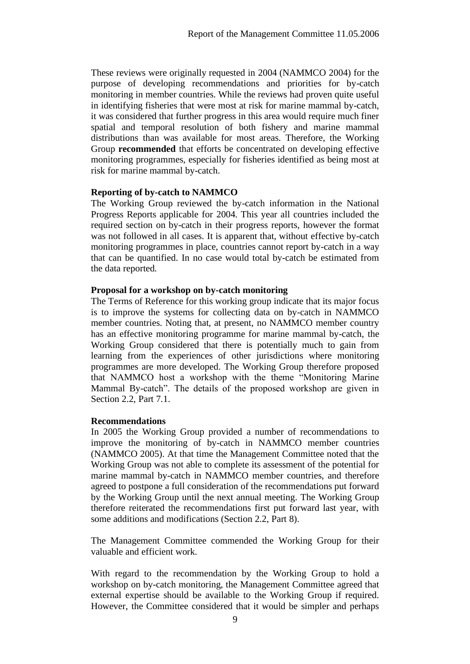These reviews were originally requested in 2004 (NAMMCO 2004) for the purpose of developing recommendations and priorities for by-catch monitoring in member countries. While the reviews had proven quite useful in identifying fisheries that were most at risk for marine mammal by-catch, it was considered that further progress in this area would require much finer spatial and temporal resolution of both fishery and marine mammal distributions than was available for most areas. Therefore, the Working Group **recommended** that efforts be concentrated on developing effective monitoring programmes, especially for fisheries identified as being most at risk for marine mammal by-catch.

#### **Reporting of by-catch to NAMMCO**

The Working Group reviewed the by-catch information in the National Progress Reports applicable for 2004. This year all countries included the required section on by-catch in their progress reports, however the format was not followed in all cases. It is apparent that, without effective by-catch monitoring programmes in place, countries cannot report by-catch in a way that can be quantified. In no case would total by-catch be estimated from the data reported.

#### **Proposal for a workshop on by-catch monitoring**

The Terms of Reference for this working group indicate that its major focus is to improve the systems for collecting data on by-catch in NAMMCO member countries. Noting that, at present, no NAMMCO member country has an effective monitoring programme for marine mammal by-catch, the Working Group considered that there is potentially much to gain from learning from the experiences of other jurisdictions where monitoring programmes are more developed. The Working Group therefore proposed that NAMMCO host a workshop with the theme "Monitoring Marine Mammal By-catch". The details of the proposed workshop are given in Section 2.2, Part 7.1.

#### **Recommendations**

In 2005 the Working Group provided a number of recommendations to improve the monitoring of by-catch in NAMMCO member countries (NAMMCO 2005). At that time the Management Committee noted that the Working Group was not able to complete its assessment of the potential for marine mammal by-catch in NAMMCO member countries, and therefore agreed to postpone a full consideration of the recommendations put forward by the Working Group until the next annual meeting. The Working Group therefore reiterated the recommendations first put forward last year, with some additions and modifications (Section 2.2, Part 8).

The Management Committee commended the Working Group for their valuable and efficient work.

With regard to the recommendation by the Working Group to hold a workshop on by-catch monitoring, the Management Committee agreed that external expertise should be available to the Working Group if required. However, the Committee considered that it would be simpler and perhaps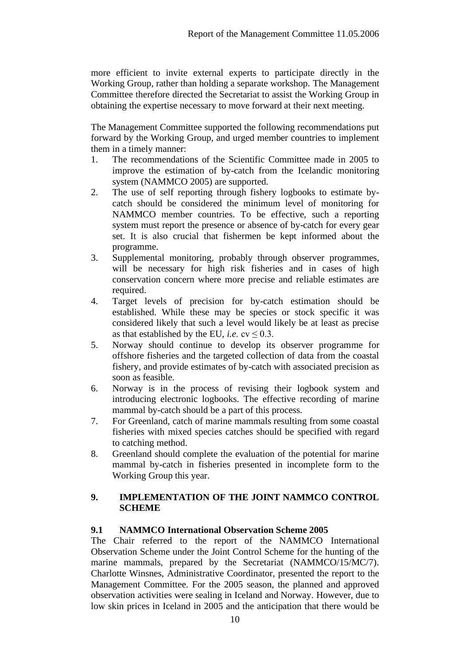more efficient to invite external experts to participate directly in the Working Group, rather than holding a separate workshop. The Management Committee therefore directed the Secretariat to assist the Working Group in obtaining the expertise necessary to move forward at their next meeting.

The Management Committee supported the following recommendations put forward by the Working Group, and urged member countries to implement them in a timely manner:

- 1. The recommendations of the Scientific Committee made in 2005 to improve the estimation of by-catch from the Icelandic monitoring system (NAMMCO 2005) are supported.
- 2. The use of self reporting through fishery logbooks to estimate bycatch should be considered the minimum level of monitoring for NAMMCO member countries. To be effective, such a reporting system must report the presence or absence of by-catch for every gear set. It is also crucial that fishermen be kept informed about the programme.
- 3. Supplemental monitoring, probably through observer programmes, will be necessary for high risk fisheries and in cases of high conservation concern where more precise and reliable estimates are required.
- 4. Target levels of precision for by-catch estimation should be established. While these may be species or stock specific it was considered likely that such a level would likely be at least as precise as that established by the EU, *i.e.*  $cv < 0.3$ .
- 5. Norway should continue to develop its observer programme for offshore fisheries and the targeted collection of data from the coastal fishery, and provide estimates of by-catch with associated precision as soon as feasible.
- 6. Norway is in the process of revising their logbook system and introducing electronic logbooks. The effective recording of marine mammal by-catch should be a part of this process.
- 7. For Greenland, catch of marine mammals resulting from some coastal fisheries with mixed species catches should be specified with regard to catching method.
- 8. Greenland should complete the evaluation of the potential for marine mammal by-catch in fisheries presented in incomplete form to the Working Group this year.

# **9. IMPLEMENTATION OF THE JOINT NAMMCO CONTROL SCHEME**

# **9.1 NAMMCO International Observation Scheme 2005**

The Chair referred to the report of the NAMMCO International Observation Scheme under the Joint Control Scheme for the hunting of the marine mammals, prepared by the Secretariat (NAMMCO/15/MC/7). Charlotte Winsnes, Administrative Coordinator, presented the report to the Management Committee. For the 2005 season, the planned and approved observation activities were sealing in Iceland and Norway. However, due to low skin prices in Iceland in 2005 and the anticipation that there would be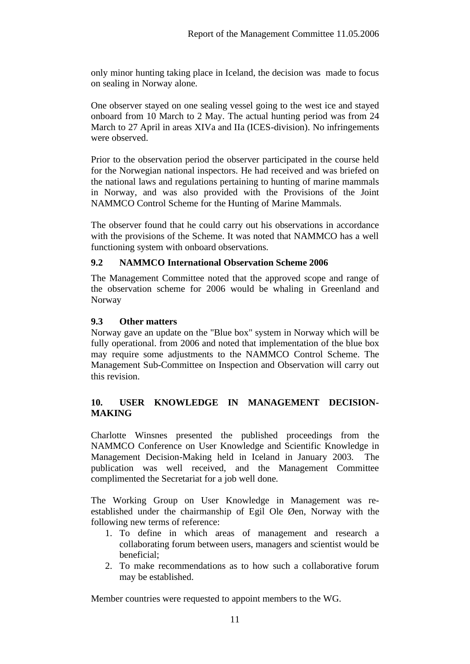only minor hunting taking place in Iceland, the decision was made to focus on sealing in Norway alone.

One observer stayed on one sealing vessel going to the west ice and stayed onboard from 10 March to 2 May. The actual hunting period was from 24 March to 27 April in areas XIVa and IIa (ICES-division). No infringements were observed.

Prior to the observation period the observer participated in the course held for the Norwegian national inspectors. He had received and was briefed on the national laws and regulations pertaining to hunting of marine mammals in Norway, and was also provided with the Provisions of the Joint NAMMCO Control Scheme for the Hunting of Marine Mammals.

The observer found that he could carry out his observations in accordance with the provisions of the Scheme. It was noted that NAMMCO has a well functioning system with onboard observations.

# **9.2 NAMMCO International Observation Scheme 2006**

The Management Committee noted that the approved scope and range of the observation scheme for 2006 would be whaling in Greenland and Norway

### **9.3 Other matters**

Norway gave an update on the "Blue box" system in Norway which will be fully operational. from 2006 and noted that implementation of the blue box may require some adjustments to the NAMMCO Control Scheme. The Management Sub-Committee on Inspection and Observation will carry out this revision.

# **10. USER KNOWLEDGE IN MANAGEMENT DECISION-MAKING**

Charlotte Winsnes presented the published proceedings from the NAMMCO Conference on User Knowledge and Scientific Knowledge in Management Decision-Making held in Iceland in January 2003. The publication was well received, and the Management Committee complimented the Secretariat for a job well done.

The Working Group on User Knowledge in Management was reestablished under the chairmanship of Egil Ole Øen, Norway with the following new terms of reference:

- 1. To define in which areas of management and research a collaborating forum between users, managers and scientist would be beneficial;
- 2. To make recommendations as to how such a collaborative forum may be established.

Member countries were requested to appoint members to the WG.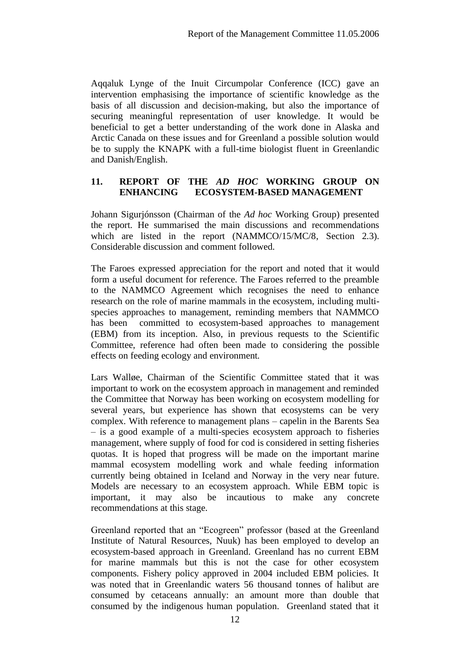Aqqaluk Lynge of the Inuit Circumpolar Conference (ICC) gave an intervention emphasising the importance of scientific knowledge as the basis of all discussion and decision-making, but also the importance of securing meaningful representation of user knowledge. It would be beneficial to get a better understanding of the work done in Alaska and Arctic Canada on these issues and for Greenland a possible solution would be to supply the KNAPK with a full-time biologist fluent in Greenlandic and Danish/English.

### **11. REPORT OF THE** *AD HOC* **WORKING GROUP ON ENHANCING ECOSYSTEM-BASED MANAGEMENT**

Johann Sigurjónsson (Chairman of the *Ad hoc* Working Group) presented the report. He summarised the main discussions and recommendations which are listed in the report (NAMMCO/15/MC/8, Section 2.3). Considerable discussion and comment followed.

The Faroes expressed appreciation for the report and noted that it would form a useful document for reference. The Faroes referred to the preamble to the NAMMCO Agreement which recognises the need to enhance research on the role of marine mammals in the ecosystem, including multispecies approaches to management, reminding members that NAMMCO has been committed to ecosystem-based approaches to management (EBM) from its inception. Also, in previous requests to the Scientific Committee, reference had often been made to considering the possible effects on feeding ecology and environment.

Lars Walløe, Chairman of the Scientific Committee stated that it was important to work on the ecosystem approach in management and reminded the Committee that Norway has been working on ecosystem modelling for several years, but experience has shown that ecosystems can be very complex. With reference to management plans – capelin in the Barents Sea – is a good example of a multi-species ecosystem approach to fisheries management, where supply of food for cod is considered in setting fisheries quotas. It is hoped that progress will be made on the important marine mammal ecosystem modelling work and whale feeding information currently being obtained in Iceland and Norway in the very near future. Models are necessary to an ecosystem approach. While EBM topic is important, it may also be incautious to make any concrete recommendations at this stage.

Greenland reported that an "Ecogreen" professor (based at the Greenland Institute of Natural Resources, Nuuk) has been employed to develop an ecosystem-based approach in Greenland. Greenland has no current EBM for marine mammals but this is not the case for other ecosystem components. Fishery policy approved in 2004 included EBM policies. It was noted that in Greenlandic waters 56 thousand tonnes of halibut are consumed by cetaceans annually: an amount more than double that consumed by the indigenous human population. Greenland stated that it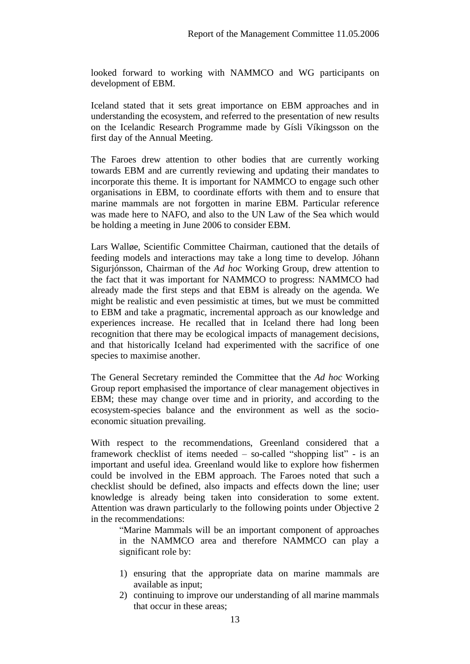looked forward to working with NAMMCO and WG participants on development of EBM.

Iceland stated that it sets great importance on EBM approaches and in understanding the ecosystem, and referred to the presentation of new results on the Icelandic Research Programme made by Gísli Víkingsson on the first day of the Annual Meeting.

The Faroes drew attention to other bodies that are currently working towards EBM and are currently reviewing and updating their mandates to incorporate this theme. It is important for NAMMCO to engage such other organisations in EBM, to coordinate efforts with them and to ensure that marine mammals are not forgotten in marine EBM. Particular reference was made here to NAFO, and also to the UN Law of the Sea which would be holding a meeting in June 2006 to consider EBM.

Lars Walløe, Scientific Committee Chairman, cautioned that the details of feeding models and interactions may take a long time to develop. Jóhann Sigurjónsson, Chairman of the *Ad hoc* Working Group, drew attention to the fact that it was important for NAMMCO to progress: NAMMCO had already made the first steps and that EBM is already on the agenda. We might be realistic and even pessimistic at times, but we must be committed to EBM and take a pragmatic, incremental approach as our knowledge and experiences increase. He recalled that in Iceland there had long been recognition that there may be ecological impacts of management decisions, and that historically Iceland had experimented with the sacrifice of one species to maximise another.

The General Secretary reminded the Committee that the *Ad hoc* Working Group report emphasised the importance of clear management objectives in EBM; these may change over time and in priority, and according to the ecosystem-species balance and the environment as well as the socioeconomic situation prevailing.

With respect to the recommendations, Greenland considered that a framework checklist of items needed – so-called "shopping list" - is an important and useful idea. Greenland would like to explore how fishermen could be involved in the EBM approach. The Faroes noted that such a checklist should be defined, also impacts and effects down the line; user knowledge is already being taken into consideration to some extent. Attention was drawn particularly to the following points under Objective 2 in the recommendations:

"Marine Mammals will be an important component of approaches in the NAMMCO area and therefore NAMMCO can play a significant role by:

- 1) ensuring that the appropriate data on marine mammals are available as input;
- 2) continuing to improve our understanding of all marine mammals that occur in these areas;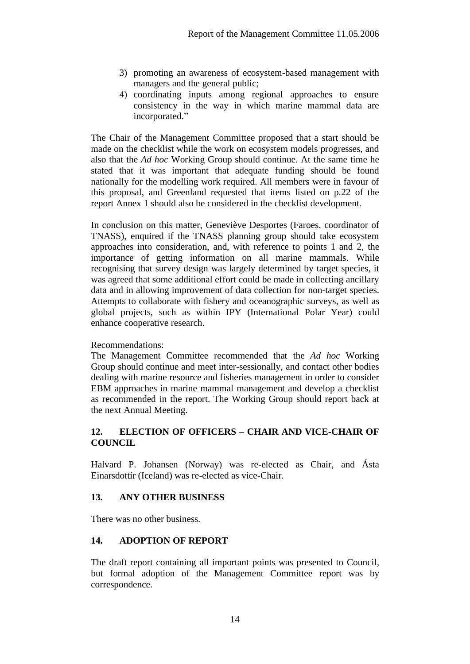- 3) promoting an awareness of ecosystem-based management with managers and the general public;
- 4) coordinating inputs among regional approaches to ensure consistency in the way in which marine mammal data are incorporated."

The Chair of the Management Committee proposed that a start should be made on the checklist while the work on ecosystem models progresses, and also that the *Ad hoc* Working Group should continue. At the same time he stated that it was important that adequate funding should be found nationally for the modelling work required. All members were in favour of this proposal, and Greenland requested that items listed on p.22 of the report Annex 1 should also be considered in the checklist development.

In conclusion on this matter, Geneviève Desportes (Faroes, coordinator of TNASS), enquired if the TNASS planning group should take ecosystem approaches into consideration, and, with reference to points 1 and 2, the importance of getting information on all marine mammals. While recognising that survey design was largely determined by target species, it was agreed that some additional effort could be made in collecting ancillary data and in allowing improvement of data collection for non-target species. Attempts to collaborate with fishery and oceanographic surveys, as well as global projects, such as within IPY (International Polar Year) could enhance cooperative research.

# Recommendations:

The Management Committee recommended that the *Ad hoc* Working Group should continue and meet inter-sessionally, and contact other bodies dealing with marine resource and fisheries management in order to consider EBM approaches in marine mammal management and develop a checklist as recommended in the report. The Working Group should report back at the next Annual Meeting.

# **12. ELECTION OF OFFICERS – CHAIR AND VICE-CHAIR OF COUNCIL**

Halvard P. Johansen (Norway) was re-elected as Chair, and Ásta Einarsdottír (Iceland) was re-elected as vice-Chair.

# **13. ANY OTHER BUSINESS**

There was no other business.

# **14. ADOPTION OF REPORT**

The draft report containing all important points was presented to Council, but formal adoption of the Management Committee report was by correspondence.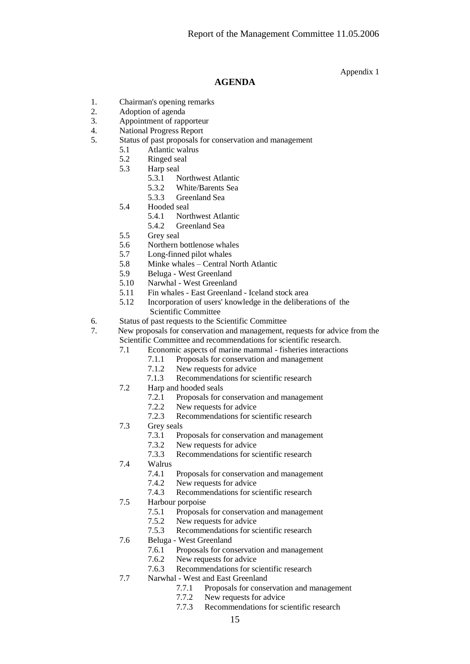Appendix 1

#### **AGENDA**

- 1. Chairman's opening remarks
- 2. Adoption of agenda
- 3. Appointment of rapporteur
- 4. National Progress Report
- 5. Status of past proposals for conservation and management
	- 5.1 Atlantic walrus
	- 5.2 Ringed seal
	- 5.3 Harp seal
		- 5.3.1 Northwest Atlantic
		- 5.3.2 White/Barents Sea
		- 5.3.3 Greenland Sea
	- 5.4 Hooded seal<br>5.4.1 Nor
		- Northwest Atlantic
		- 5.4.2 Greenland Sea
	- 5.5 Grey seal
	- 5.6 Northern bottlenose whales
	- 5.7 Long-finned pilot whales
	- 5.8 Minke whales Central North Atlantic<br>5.9 Beluga West Greenland
	- 5.9 Beluga West Greenland
	- 5.10 Narwhal West Greenland
	- 5.11 Fin whales East Greenland Iceland stock area
	- 5.12 Incorporation of users' knowledge in the deliberations of the Scientific Committee
- 6. Status of past requests to the Scientific Committee
- 7. New proposals for conservation and management, requests for advice from the Scientific Committee and recommendations for scientific research.
	- 7.1 Economic aspects of marine mammal fisheries interactions
		- 7.1.1 Proposals for conservation and management<br>7.1.2 New requests for advice
			- New requests for advice
		- 7.1.3 Recommendations for scientific research
	- 7.2 Harp and hooded seals
		- 7.2.1 Proposals for conservation and management
		- 7.2.2 New requests for advice
		- 7.2.3 Recommendations for scientific research
	- 7.3 Grey seals
		- 7.3.1 Proposals for conservation and management
		- 7.3.2 New requests for advice<br>7.3.3 Recommendations for so
		- Recommendations for scientific research
	- 7.4 Walrus
		- 7.4.1 Proposals for conservation and management
		- 7.4.2 New requests for advice
		- 7.4.3 Recommendations for scientific research
	- 7.5 Harbour porpoise
		- 7.5.1 Proposals for conservation and management
		- 7.5.2 New requests for advice
		- 7.5.3 Recommendations for scientific research
	- 7.6 Beluga West Greenland
		- 7.6.1 Proposals for conservation and management<br>7.6.2 New requests for advice
		- New requests for advice
		- 7.6.3 Recommendations for scientific research
	- 7.7 Narwhal West and East Greenland
		- 7.7.1 Proposals for conservation and management
		- 7.7.2 New requests for advice
		- 7.7.3 Recommendations for scientific research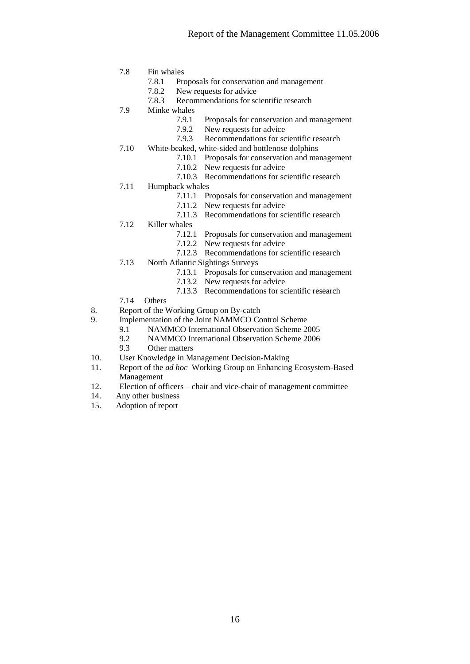- 7.8 Fin whales
	- 7.8.1 Proposals for conservation and management
	- 7.8.2 New requests for advice
	- 7.8.3 Recommendations for scientific research
- 7.9 Minke whales
	- 7.9.1 Proposals for conservation and management<br>7.9.2 New requests for advice
	- New requests for advice
	- 7.9.3 Recommendations for scientific research
- 7.10 White-beaked, white-sided and bottlenose dolphins
	- 7.10.1 Proposals for conservation and management
	- 7.10.2 New requests for advice
	- 7.10.3 Recommendations for scientific research
- 7.11 Humpback whales
	- 7.11.1 Proposals for conservation and management
	- 7.11.2 New requests for advice
	- 7.11.3 Recommendations for scientific research
- 7.12 Killer whales
	- 7.12.1 Proposals for conservation and management<br>7.12.2 New requests for advice
	- New requests for advice
	- 7.12.3 Recommendations for scientific research
- 7.13 North Atlantic Sightings Surveys
	- 7.13.1 Proposals for conservation and management
	- 7.13.2 New requests for advice
	- 7.13.3 Recommendations for scientific research
- 7.14 Others
- 8. Report of the Working Group on By-catch
- 9. Implementation of the Joint NAMMCO Control Scheme
	- 9.1 NAMMCO International Observation Scheme 2005
	- 9.2 NAMMCO International Observation Scheme 2006
	- 9.3 Other matters
- 10. User Knowledge in Management Decision-Making
- 11. Report of the *ad hoc* Working Group on Enhancing Ecosystem-Based Management
- 12. Election of officers chair and vice-chair of management committee
- 14. Any other business
- 15. Adoption of report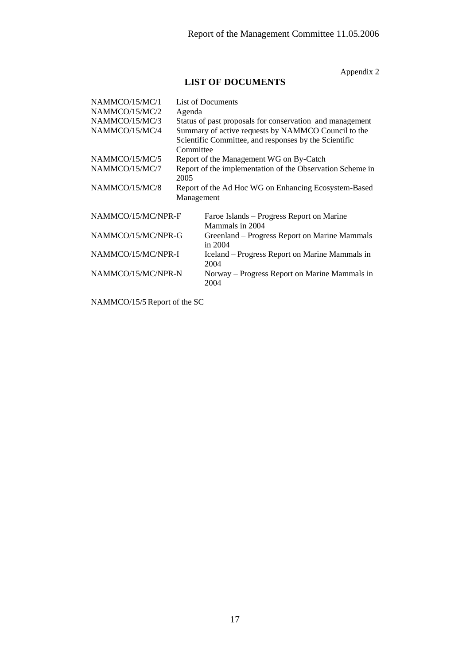Appendix 2

# **LIST OF DOCUMENTS**

| NAMMCO/15/MC/1<br>NAMMCO/15/MC/2<br>NAMMCO/15/MC/3<br>NAMMCO/15/MC/4<br>NAMMCO/15/MC/5 | List of Documents<br>Agenda<br>Status of past proposals for conservation and management<br>Summary of active requests by NAMMCO Council to the<br>Scientific Committee, and responses by the Scientific<br>Committee<br>Report of the Management WG on By-Catch |                                                              |
|----------------------------------------------------------------------------------------|-----------------------------------------------------------------------------------------------------------------------------------------------------------------------------------------------------------------------------------------------------------------|--------------------------------------------------------------|
| NAMMCO/15/MC/7                                                                         | 2005                                                                                                                                                                                                                                                            | Report of the implementation of the Observation Scheme in    |
| NAMMCO/15/MC/8                                                                         | Management                                                                                                                                                                                                                                                      | Report of the Ad Hoc WG on Enhancing Ecosystem-Based         |
| NAMMCO/15/MC/NPR-F                                                                     |                                                                                                                                                                                                                                                                 | Faroe Islands – Progress Report on Marine<br>Mammals in 2004 |
| NAMMCO/15/MC/NPR-G                                                                     |                                                                                                                                                                                                                                                                 | Greenland – Progress Report on Marine Mammals<br>in $2004$   |
| NAMMCO/15/MC/NPR-I                                                                     |                                                                                                                                                                                                                                                                 | Iceland – Progress Report on Marine Mammals in<br>2004       |
| NAMMCO/15/MC/NPR-N                                                                     |                                                                                                                                                                                                                                                                 | Norway - Progress Report on Marine Mammals in<br>2004        |

NAMMCO/15/5 Report of the SC